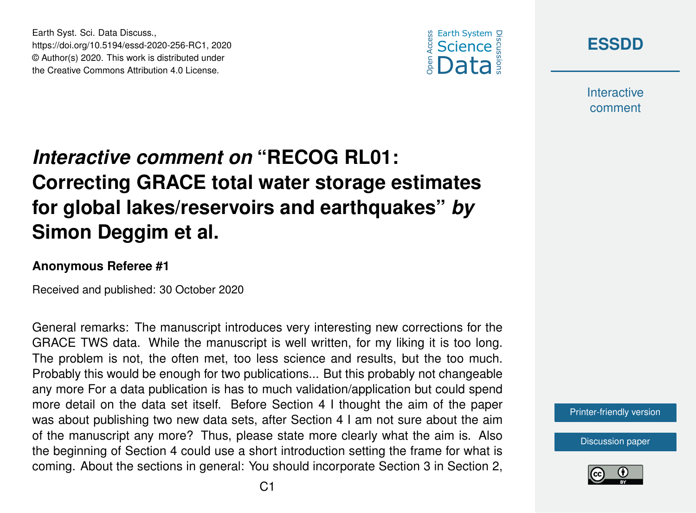





**Interactive** comment

## *Interactive comment on* **"RECOG RL01: Correcting GRACE total water storage estimates for global lakes/reservoirs and earthquakes"** *by* **Simon Deggim et al.**

## **Anonymous Referee #1**

Received and published: 30 October 2020

General remarks: The manuscript introduces very interesting new corrections for the GRACE TWS data. While the manuscript is well written, for my liking it is too long. The problem is not, the often met, too less science and results, but the too much. Probably this would be enough for two publications... But this probably not changeable any more For a data publication is has to much validation/application but could spend more detail on the data set itself. Before Section 4 I thought the aim of the paper was about publishing two new data sets, after Section 4 I am not sure about the aim of the manuscript any more? Thus, please state more clearly what the aim is. Also the beginning of Section 4 could use a short introduction setting the frame for what is coming. About the sections in general: You should incorporate Section 3 in Section 2,



[Discussion paper](https://essd.copernicus.org/preprints/essd-2020-256)

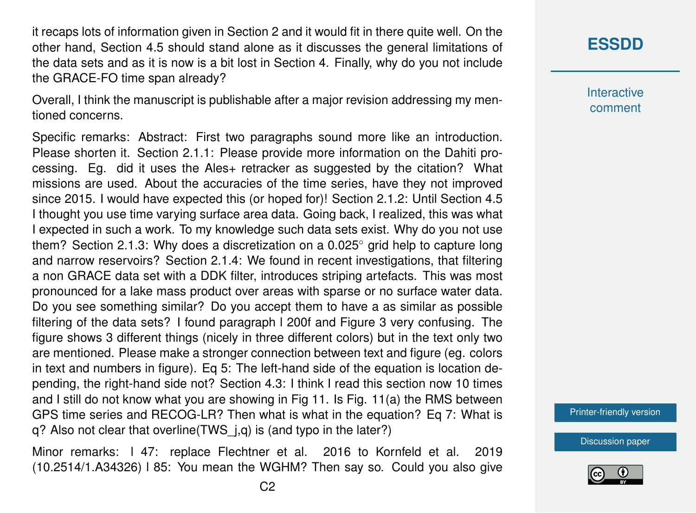it recaps lots of information given in Section 2 and it would fit in there quite well. On the other hand, Section 4.5 should stand alone as it discusses the general limitations of the data sets and as it is now is a bit lost in Section 4. Finally, why do you not include the GRACE-FO time span already?

Overall, I think the manuscript is publishable after a major revision addressing my mentioned concerns.

Specific remarks: Abstract: First two paragraphs sound more like an introduction. Please shorten it. Section 2.1.1: Please provide more information on the Dahiti processing. Eg. did it uses the Ales+ retracker as suggested by the citation? What missions are used. About the accuracies of the time series, have they not improved since 2015. I would have expected this (or hoped for)! Section 2.1.2: Until Section 4.5 I thought you use time varying surface area data. Going back, I realized, this was what I expected in such a work. To my knowledge such data sets exist. Why do you not use them? Section 2.1.3: Why does a discretization on a 0.025◦ grid help to capture long and narrow reservoirs? Section 2.1.4: We found in recent investigations, that filtering a non GRACE data set with a DDK filter, introduces striping artefacts. This was most pronounced for a lake mass product over areas with sparse or no surface water data. Do you see something similar? Do you accept them to have a as similar as possible filtering of the data sets? I found paragraph l 200f and Figure 3 very confusing. The figure shows 3 different things (nicely in three different colors) but in the text only two are mentioned. Please make a stronger connection between text and figure (eg. colors in text and numbers in figure). Eq 5: The left-hand side of the equation is location depending, the right-hand side not? Section 4.3: I think I read this section now 10 times and I still do not know what you are showing in Fig 11. Is Fig. 11(a) the RMS between GPS time series and RECOG-LR? Then what is what in the equation? Eq 7: What is q? Also not clear that overline(TWS\_j,q) is (and typo in the later?)

Minor remarks: l 47: replace Flechtner et al. 2016 to Kornfeld et al. 2019 (10.2514/1.A34326) l 85: You mean the WGHM? Then say so. Could you also give **Interactive** comment

[Printer-friendly version](https://essd.copernicus.org/preprints/essd-2020-256/essd-2020-256-RC1-print.pdf)

[Discussion paper](https://essd.copernicus.org/preprints/essd-2020-256)